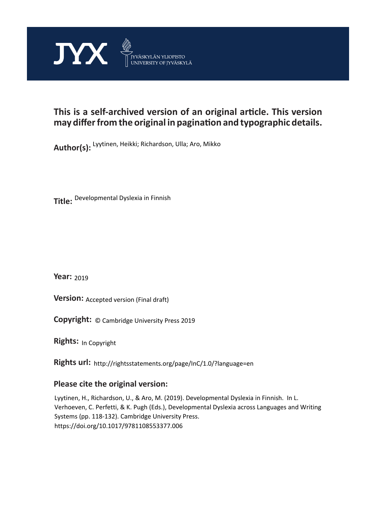

# **This is a self-archived version of an original article. This version may differ from the original in pagination and typographic details.**

**Author(s):**  Lyytinen, Heikki; Richardson, Ulla; Aro, Mikko

**Title:**  Developmental Dyslexia in Finnish

**Year:**  2019

**Version: Accepted version (Final draft)** 

**Version:** Accepted version (Final draft)<br>**Copyright:** © Cambridge University Press 2019

**Rights:** In Copyright

**Rights url:**  http://rightsstatements.org/page/InC/1.0/?language=en

# **Please cite the original version:**

Lyytinen, H., Richardson, U., & Aro, M. (2019). Developmental Dyslexia in Finnish. In L. Verhoeven, C. Perfetti, & K. Pugh (Eds.), Developmental Dyslexia across Languages and Writing Systems (pp. 118-132). Cambridge University Press. https://doi.org/10.1017/9781108553377.006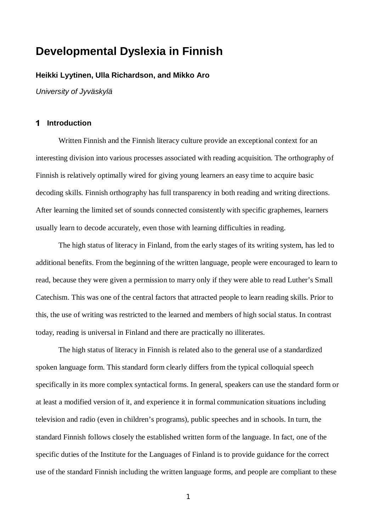# **Developmental Dyslexia in Finnish**

# **Heikki Lyytinen, Ulla Richardson, and Mikko Aro**

*University of Jyväskylä*

## **Introduction**

Written Finnish and the Finnish literacy culture provide an exceptional context for an interesting division into various processes associated with reading acquisition. The orthography of Finnish is relatively optimally wired for giving young learners an easy time to acquire basic decoding skills. Finnish orthography has full transparency in both reading and writing directions. After learning the limited set of sounds connected consistently with specific graphemes, learners usually learn to decode accurately, even those with learning difficulties in reading.

The high status of literacy in Finland, from the early stages of its writing system, has led to additional benefits. From the beginning of the written language, people were encouraged to learn to read, because they were given a permission to marry only if they were able to read Luther's Small Catechism. This was one of the central factors that attracted people to learn reading skills. Prior to this, the use of writing was restricted to the learned and members of high social status. In contrast today, reading is universal in Finland and there are practically no illiterates.

The high status of literacy in Finnish is related also to the general use of a standardized spoken language form. This standard form clearly differs from the typical colloquial speech specifically in its more complex syntactical forms. In general, speakers can use the standard form or at least a modified version of it, and experience it in formal communication situations including television and radio (even in children's programs), public speeches and in schools. In turn, the standard Finnish follows closely the established written form of the language. In fact, one of the specific duties of the Institute for the Languages of Finland is to provide guidance for the correct use of the standard Finnish including the written language forms, and people are compliant to these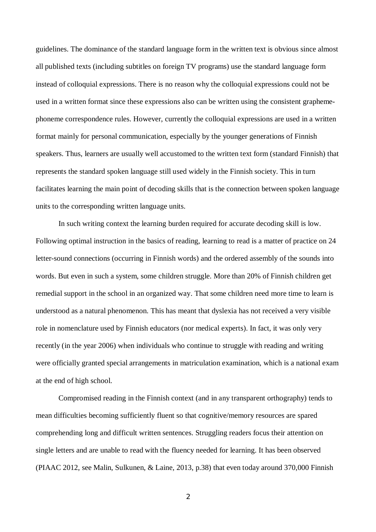guidelines. The dominance of the standard language form in the written text is obvious since almost all published texts (including subtitles on foreign TV programs) use the standard language form instead of colloquial expressions. There is no reason why the colloquial expressions could not be used in a written format since these expressions also can be written using the consistent graphemephoneme correspondence rules. However, currently the colloquial expressions are used in a written format mainly for personal communication, especially by the younger generations of Finnish speakers. Thus, learners are usually well accustomed to the written text form (standard Finnish) that represents the standard spoken language still used widely in the Finnish society. This in turn facilitates learning the main point of decoding skills that is the connection between spoken language units to the corresponding written language units.

In such writing context the learning burden required for accurate decoding skill is low. Following optimal instruction in the basics of reading, learning to read is a matter of practice on 24 letter-sound connections (occurring in Finnish words) and the ordered assembly of the sounds into words. But even in such a system, some children struggle. More than 20% of Finnish children get remedial support in the school in an organized way. That some children need more time to learn is understood as a natural phenomenon. This has meant that dyslexia has not received a very visible role in nomenclature used by Finnish educators (nor medical experts). In fact, it was only very recently (in the year 2006) when individuals who continue to struggle with reading and writing were officially granted special arrangements in matriculation examination, which is a national exam at the end of high school.

Compromised reading in the Finnish context (and in any transparent orthography) tends to mean difficulties becoming sufficiently fluent so that cognitive/memory resources are spared comprehending long and difficult written sentences. Struggling readers focus their attention on single letters and are unable to read with the fluency needed for learning. It has been observed (PIAAC 2012, see Malin, Sulkunen, & Laine, 2013, p.38) that even today around 370,000 Finnish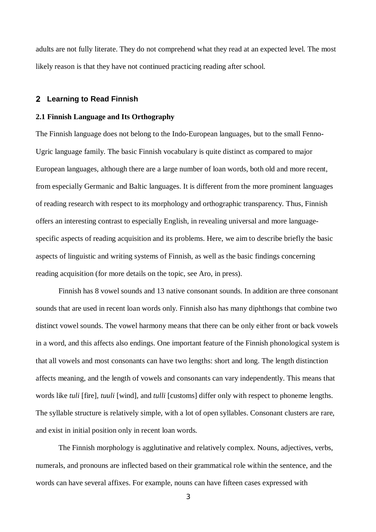adults are not fully literate. They do not comprehend what they read at an expected level. The most likely reason is that they have not continued practicing reading after school.

#### **Learning to Read Finnish**

### **2.1 Finnish Language and Its Orthography**

The Finnish language does not belong to the Indo-European languages, but to the small Fenno-Ugric language family. The basic Finnish vocabulary is quite distinct as compared to major European languages, although there are a large number of loan words, both old and more recent, from especially Germanic and Baltic languages. It is different from the more prominent languages of reading research with respect to its morphology and orthographic transparency. Thus, Finnish offers an interesting contrast to especially English, in revealing universal and more languagespecific aspects of reading acquisition and its problems. Here, we aim to describe briefly the basic aspects of linguistic and writing systems of Finnish, as well as the basic findings concerning reading acquisition (for more details on the topic, see Aro, in press).

Finnish has 8 vowel sounds and 13 native consonant sounds. In addition are three consonant sounds that are used in recent loan words only. Finnish also has many diphthongs that combine two distinct vowel sounds. The vowel harmony means that there can be only either front or back vowels in a word, and this affects also endings. One important feature of the Finnish phonological system is that all vowels and most consonants can have two lengths: short and long. The length distinction affects meaning, and the length of vowels and consonants can vary independently. This means that words like *tuli* [fire], *tuuli* [wind], and *tulli* [customs] differ only with respect to phoneme lengths. The syllable structure is relatively simple, with a lot of open syllables. Consonant clusters are rare, and exist in initial position only in recent loan words.

The Finnish morphology is agglutinative and relatively complex. Nouns, adjectives, verbs, numerals, and pronouns are inflected based on their grammatical role within the sentence, and the words can have several affixes. For example, nouns can have fifteen cases expressed with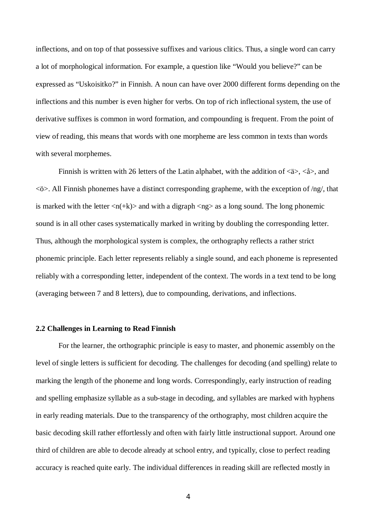inflections, and on top of that possessive suffixes and various clitics. Thus, a single word can carry a lot of morphological information. For example, a question like "Would you believe?" can be expressed as "Uskoisitko?" in Finnish. A noun can have over 2000 different forms depending on the inflections and this number is even higher for verbs. On top of rich inflectional system, the use of derivative suffixes is common in word formation, and compounding is frequent. From the point of view of reading, this means that words with one morpheme are less common in texts than words with several morphemes.

Finnish is written with 26 letters of the Latin alphabet, with the addition of  $\langle 2 \rangle$ ,  $\langle 2 \rangle$ , and <ö>. All Finnish phonemes have a distinct corresponding grapheme, with the exception of /ng/, that is marked with the letter  $\langle n(+k)\rangle$  and with a digraph  $\langle ng\rangle$  as a long sound. The long phonemic sound is in all other cases systematically marked in writing by doubling the corresponding letter. Thus, although the morphological system is complex, the orthography reflects a rather strict phonemic principle. Each letter represents reliably a single sound, and each phoneme is represented reliably with a corresponding letter, independent of the context. The words in a text tend to be long (averaging between 7 and 8 letters), due to compounding, derivations, and inflections.

## **2.2 Challenges in Learning to Read Finnish**

For the learner, the orthographic principle is easy to master, and phonemic assembly on the level of single letters is sufficient for decoding. The challenges for decoding (and spelling) relate to marking the length of the phoneme and long words. Correspondingly, early instruction of reading and spelling emphasize syllable as a sub-stage in decoding, and syllables are marked with hyphens in early reading materials. Due to the transparency of the orthography, most children acquire the basic decoding skill rather effortlessly and often with fairly little instructional support. Around one third of children are able to decode already at school entry, and typically, close to perfect reading accuracy is reached quite early. The individual differences in reading skill are reflected mostly in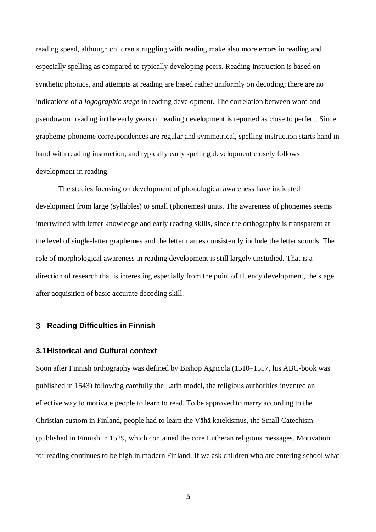reading speed, although children struggling with reading make also more errors in reading and especially spelling as compared to typically developing peers. Reading instruction is based on synthetic phonics, and attempts at reading are based rather uniformly on decoding; there are no indications of a *logographic stage* in reading development. The correlation between word and pseudoword reading in the early years of reading development is reported as close to perfect. Since grapheme-phoneme correspondences are regular and symmetrical, spelling instruction starts hand in hand with reading instruction, and typically early spelling development closely follows development in reading.

The studies focusing on development of phonological awareness have indicated development from large (syllables) to small (phonemes) units. The awareness of phonemes seems intertwined with letter knowledge and early reading skills, since the orthography is transparent at the level of single-letter graphemes and the letter names consistently include the letter sounds. The role of morphological awareness in reading development is still largely unstudied. That is a direction of research that is interesting especially from the point of fluency development, the stage after acquisition of basic accurate decoding skill.

### **Reading Difficulties in Finnish**

## **3.1 Historical and Cultural context**

Soon after Finnish orthography was defined by Bishop Agricola (1510–1557, his ABC-book was published in 1543) following carefully the Latin model, the religious authorities invented an effective way to motivate people to learn to read. To be approved to marry according to the Christian custom in Finland, people had to learn the Vähä katekismus, the Small Catechism (published in Finnish in 1529, which contained the core Lutheran religious messages. Motivation for reading continues to be high in modern Finland. If we ask children who are entering school what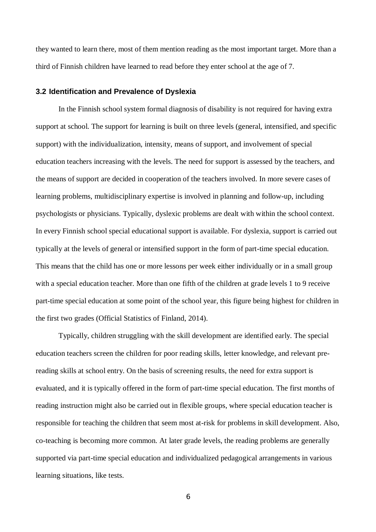they wanted to learn there, most of them mention reading as the most important target. More than a third of Finnish children have learned to read before they enter school at the age of 7.

#### **3.2 Identification and Prevalence of Dyslexia**

In the Finnish school system formal diagnosis of disability is not required for having extra support at school. The support for learning is built on three levels (general, intensified, and specific support) with the individualization, intensity, means of support, and involvement of special education teachers increasing with the levels. The need for support is assessed by the teachers, and the means of support are decided in cooperation of the teachers involved. In more severe cases of learning problems, multidisciplinary expertise is involved in planning and follow-up, including psychologists or physicians. Typically, dyslexic problems are dealt with within the school context. In every Finnish school special educational support is available. For dyslexia, support is carried out typically at the levels of general or intensified support in the form of part-time special education. This means that the child has one or more lessons per week either individually or in a small group with a special education teacher. More than one fifth of the children at grade levels 1 to 9 receive part-time special education at some point of the school year, this figure being highest for children in the first two grades (Official Statistics of Finland, 2014).

Typically, children struggling with the skill development are identified early. The special education teachers screen the children for poor reading skills, letter knowledge, and relevant prereading skills at school entry. On the basis of screening results, the need for extra support is evaluated, and it is typically offered in the form of part-time special education. The first months of reading instruction might also be carried out in flexible groups, where special education teacher is responsible for teaching the children that seem most at-risk for problems in skill development. Also, co-teaching is becoming more common. At later grade levels, the reading problems are generally supported via part-time special education and individualized pedagogical arrangements in various learning situations, like tests.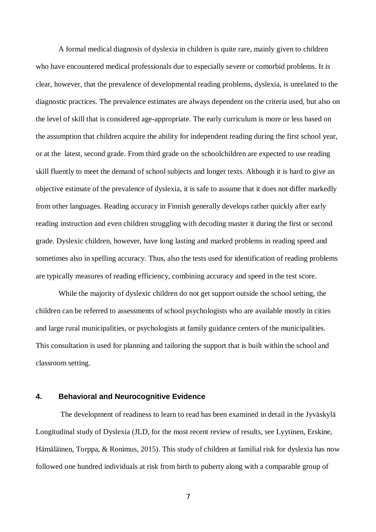A formal medical diagnosis of dyslexia in children is quite rare, mainly given to children who have encountered medical professionals due to especially severe or comorbid problems. It is clear, however, that the prevalence of developmental reading problems, dyslexia, is unrelated to the diagnostic practices. The prevalence estimates are always dependent on the criteria used, but also on the level of skill that is considered age-appropriate. The early curriculum is more or less based on the assumption that children acquire the ability for independent reading during the first school year, or at the latest, second grade. From third grade on the schoolchildren are expected to use reading skill fluently to meet the demand of school subjects and longer texts. Although it is hard to give an objective estimate of the prevalence of dyslexia, it is safe to assume that it does not differ markedly from other languages. Reading accuracy in Finnish generally develops rather quickly after early reading instruction and even children struggling with decoding master it during the first or second grade. Dyslexic children, however, have long lasting and marked problems in reading speed and sometimes also in spelling accuracy. Thus, also the tests used for identification of reading problems are typically measures of reading efficiency, combining accuracy and speed in the test score.

While the majority of dyslexic children do not get support outside the school setting, the children can be referred to assessments of school psychologists who are available mostly in cities and large rural municipalities, or psychologists at family guidance centers of the municipalities. This consultation is used for planning and tailoring the support that is built within the school and classroom setting.

# **4. Behavioral and Neurocognitive Evidence**

 The development of readiness to learn to read has been examined in detail in the Jyväskylä Longitudinal study of Dyslexia (JLD, for the most recent review of results, see Lyytinen, Erskine, Hämäläinen, Torppa, & Ronimus, 2015). This study of children at familial risk for dyslexia has now followed one hundred individuals at risk from birth to puberty along with a comparable group of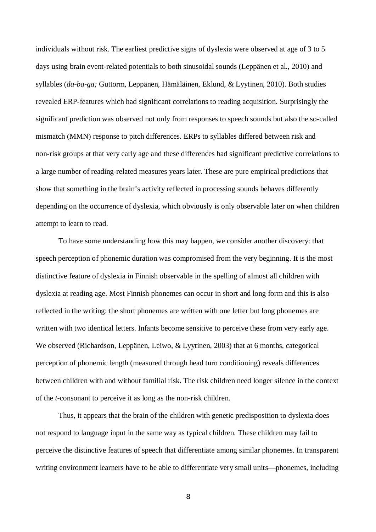individuals without risk. The earliest predictive signs of dyslexia were observed at age of 3 to 5 days using brain event-related potentials to both sinusoidal sounds (Leppänen et al., 2010) and syllables (*da-ba-ga;* Guttorm, Leppänen, Hämäläinen, Eklund, & Lyytinen, 2010). Both studies revealed ERP-features which had significant correlations to reading acquisition. Surprisingly the significant prediction was observed not only from responses to speech sounds but also the so-called mismatch (MMN) response to pitch differences. ERPs to syllables differed between risk and non-risk groups at that very early age and these differences had significant predictive correlations to a large number of reading-related measures years later. These are pure empirical predictions that show that something in the brain's activity reflected in processing sounds behaves differently depending on the occurrence of dyslexia, which obviously is only observable later on when children attempt to learn to read.

To have some understanding how this may happen, we consider another discovery: that speech perception of phonemic duration was compromised from the very beginning. It is the most distinctive feature of dyslexia in Finnish observable in the spelling of almost all children with dyslexia at reading age. Most Finnish phonemes can occur in short and long form and this is also reflected in the writing: the short phonemes are written with one letter but long phonemes are written with two identical letters. Infants become sensitive to perceive these from very early age. We observed (Richardson, Leppänen, Leiwo, & Lyytinen, 2003) that at 6 months, categorical perception of phonemic length (measured through head turn conditioning) reveals differences between children with and without familial risk. The risk children need longer silence in the context of the *t*-consonant to perceive it as long as the non-risk children.

Thus, it appears that the brain of the children with genetic predisposition to dyslexia does not respond to language input in the same way as typical children. These children may fail to perceive the distinctive features of speech that differentiate among similar phonemes. In transparent writing environment learners have to be able to differentiate very small units—phonemes, including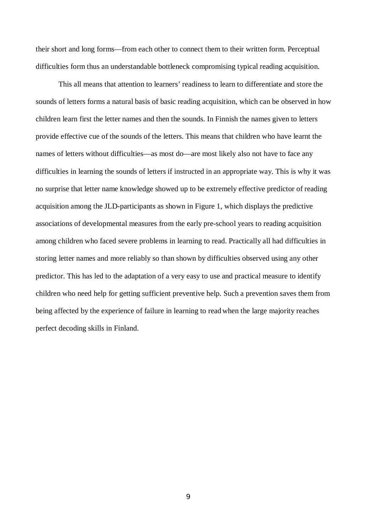their short and long forms—from each other to connect them to their written form. Perceptual difficulties form thus an understandable bottleneck compromising typical reading acquisition.

This all means that attention to learners' readiness to learn to differentiate and store the sounds of letters forms a natural basis of basic reading acquisition, which can be observed in how children learn first the letter names and then the sounds. In Finnish the names given to letters provide effective cue of the sounds of the letters. This means that children who have learnt the names of letters without difficulties—as most do—are most likely also not have to face any difficulties in learning the sounds of letters if instructed in an appropriate way. This is why it was no surprise that letter name knowledge showed up to be extremely effective predictor of reading acquisition among the JLD-participants as shown in Figure 1, which displays the predictive associations of developmental measures from the early pre-school years to reading acquisition among children who faced severe problems in learning to read. Practically all had difficulties in storing letter names and more reliably so than shown by difficulties observed using any other predictor. This has led to the adaptation of a very easy to use and practical measure to identify children who need help for getting sufficient preventive help. Such a prevention saves them from being affected by the experience of failure in learning to read when the large majority reaches perfect decoding skills in Finland.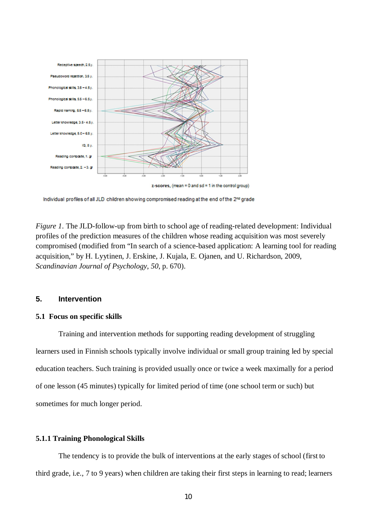

 $z$ -scores, (mean = 0 and sd = 1 in the control group)

Individual profiles of all JLD children showing compromised reading at the end of the 2<sup>nd</sup> grade

*Figure 1*. The JLD-follow-up from birth to school age of reading-related development: Individual profiles of the prediction measures of the children whose reading acquisition was most severely compromised (modified from "In search of a science-based application: A learning tool for reading acquisition," by H. Lyytinen, J. Erskine, J. Kujala, E. Ojanen, and U. Richardson, 2009, *Scandinavian Journal of Psychology*, *50*, p. 670).

## **5. Intervention**

#### **5.1 Focus on specific skills**

Training and intervention methods for supporting reading development of struggling learners used in Finnish schools typically involve individual or small group training led by special education teachers. Such training is provided usually once or twice a week maximally for a period of one lesson (45 minutes) typically for limited period of time (one school term or such) but sometimes for much longer period.

## **5.1.1 Training Phonological Skills**

The tendency is to provide the bulk of interventions at the early stages of school (first to third grade, i.e., 7 to 9 years) when children are taking their first steps in learning to read; learners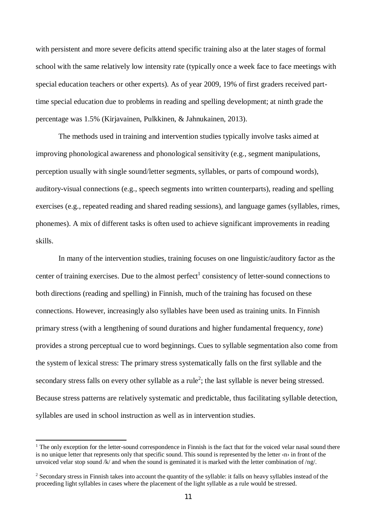with persistent and more severe deficits attend specific training also at the later stages of formal school with the same relatively low intensity rate (typically once a week face to face meetings with special education teachers or other experts). As of year 2009, 19% of first graders received parttime special education due to problems in reading and spelling development; at ninth grade the percentage was 1.5% (Kirjavainen, Pulkkinen, & Jahnukainen, 2013).

The methods used in training and intervention studies typically involve tasks aimed at improving phonological awareness and phonological sensitivity (e.g., segment manipulations, perception usually with single sound/letter segments, syllables, or parts of compound words), auditory-visual connections (e.g., speech segments into written counterparts), reading and spelling exercises (e.g., repeated reading and shared reading sessions), and language games (syllables, rimes, phonemes). A mix of different tasks is often used to achieve significant improvements in reading skills.

In many of the intervention studies, training focuses on one linguistic/auditory factor as the center of training exercises. Due to the almost perfect<sup>[1](#page-11-0)</sup> consistency of letter-sound connections to both directions (reading and spelling) in Finnish, much of the training has focused on these connections. However, increasingly also syllables have been used as training units. In Finnish primary stress (with a lengthening of sound durations and higher fundamental frequency, *tone*) provides a strong perceptual cue to word beginnings. Cues to syllable segmentation also come from the system of lexical stress: The primary stress systematically falls on the first syllable and the secondary stress falls on every other syllable as a rule<sup>[2](#page-11-1)</sup>; the last syllable is never being stressed. Because stress patterns are relatively systematic and predictable, thus facilitating syllable detection, syllables are used in school instruction as well as in intervention studies.

<span id="page-11-0"></span><sup>&</sup>lt;sup>1</sup> The only exception for the letter-sound correspondence in Finnish is the fact that for the voiced velar nasal sound there is no unique letter that represents only that specific sound. This sound is represented by the letter  $\alpha$  in front of the unvoiced velar stop sound /k/ and when the sound is geminated it is marked with the letter combination of /ng/.

<span id="page-11-1"></span> $2$  Secondary stress in Finnish takes into account the quantity of the syllable: it falls on heavy syllables instead of the proceeding light syllables in cases where the placement of the light syllable as a rule would be stressed.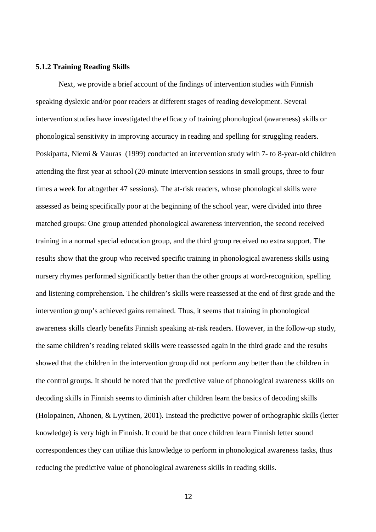#### **5.1.2 Training Reading Skills**

Next, we provide a brief account of the findings of intervention studies with Finnish speaking dyslexic and/or poor readers at different stages of reading development. Several intervention studies have investigated the efficacy of training phonological (awareness) skills or phonological sensitivity in improving accuracy in reading and spelling for struggling readers. Poskiparta, Niemi & Vauras (1999) conducted an intervention study with 7- to 8-year-old children attending the first year at school (20-minute intervention sessions in small groups, three to four times a week for altogether 47 sessions). The at-risk readers, whose phonological skills were assessed as being specifically poor at the beginning of the school year, were divided into three matched groups: One group attended phonological awareness intervention, the second received training in a normal special education group, and the third group received no extra support. The results show that the group who received specific training in phonological awareness skills using nursery rhymes performed significantly better than the other groups at word-recognition, spelling and listening comprehension. The children's skills were reassessed at the end of first grade and the intervention group's achieved gains remained. Thus, it seems that training in phonological awareness skills clearly benefits Finnish speaking at-risk readers. However, in the follow-up study, the same children's reading related skills were reassessed again in the third grade and the results showed that the children in the intervention group did not perform any better than the children in the control groups. It should be noted that the predictive value of phonological awareness skills on decoding skills in Finnish seems to diminish after children learn the basics of decoding skills (Holopainen, Ahonen, & Lyytinen, 2001). Instead the predictive power of orthographic skills (letter knowledge) is very high in Finnish. It could be that once children learn Finnish letter sound correspondences they can utilize this knowledge to perform in phonological awareness tasks, thus reducing the predictive value of phonological awareness skills in reading skills.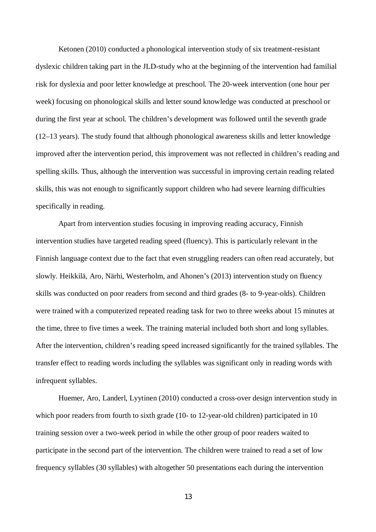Ketonen (2010) conducted a phonological intervention study of six treatment-resistant dyslexic children taking part in the JLD-study who at the beginning of the intervention had familial risk for dyslexia and poor letter knowledge at preschool. The 20-week intervention (one hour per week) focusing on phonological skills and letter sound knowledge was conducted at preschool or during the first year at school. The children's development was followed until the seventh grade (12–13 years). The study found that although phonological awareness skills and letter knowledge improved after the intervention period, this improvement was not reflected in children's reading and spelling skills. Thus, although the intervention was successful in improving certain reading related skills, this was not enough to significantly support children who had severe learning difficulties specifically in reading.

Apart from intervention studies focusing in improving reading accuracy, Finnish intervention studies have targeted reading speed (fluency). This is particularly relevant in the Finnish language context due to the fact that even struggling readers can often read accurately, but slowly. Heikkilä, Aro, Närhi, Westerholm, and Ahonen's (2013) intervention study on fluency skills was conducted on poor readers from second and third grades (8- to 9-year-olds). Children were trained with a computerized repeated reading task for two to three weeks about 15 minutes at the time, three to five times a week. The training material included both short and long syllables. After the intervention, children's reading speed increased significantly for the trained syllables. The transfer effect to reading words including the syllables was significant only in reading words with infrequent syllables.

Huemer, Aro, Landerl, Lyytinen (2010) conducted a cross-over design intervention study in which poor readers from fourth to sixth grade (10- to 12-year-old children) participated in 10 training session over a two-week period in while the other group of poor readers waited to participate in the second part of the intervention. The children were trained to read a set of low frequency syllables (30 syllables) with altogether 50 presentations each during the intervention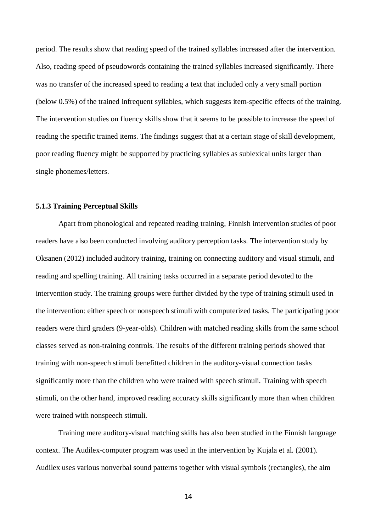period. The results show that reading speed of the trained syllables increased after the intervention. Also, reading speed of pseudowords containing the trained syllables increased significantly. There was no transfer of the increased speed to reading a text that included only a very small portion (below 0.5%) of the trained infrequent syllables, which suggests item-specific effects of the training. The intervention studies on fluency skills show that it seems to be possible to increase the speed of reading the specific trained items. The findings suggest that at a certain stage of skill development, poor reading fluency might be supported by practicing syllables as sublexical units larger than single phonemes/letters.

# **5.1.3 Training Perceptual Skills**

Apart from phonological and repeated reading training, Finnish intervention studies of poor readers have also been conducted involving auditory perception tasks. The intervention study by Oksanen (2012) included auditory training, training on connecting auditory and visual stimuli, and reading and spelling training. All training tasks occurred in a separate period devoted to the intervention study. The training groups were further divided by the type of training stimuli used in the intervention: either speech or nonspeech stimuli with computerized tasks. The participating poor readers were third graders (9-year-olds). Children with matched reading skills from the same school classes served as non-training controls. The results of the different training periods showed that training with non-speech stimuli benefitted children in the auditory-visual connection tasks significantly more than the children who were trained with speech stimuli. Training with speech stimuli, on the other hand, improved reading accuracy skills significantly more than when children were trained with nonspeech stimuli.

Training mere auditory-visual matching skills has also been studied in the Finnish language context. The Audilex-computer program was used in the intervention by Kujala et al. (2001). Audilex uses various nonverbal sound patterns together with visual symbols (rectangles), the aim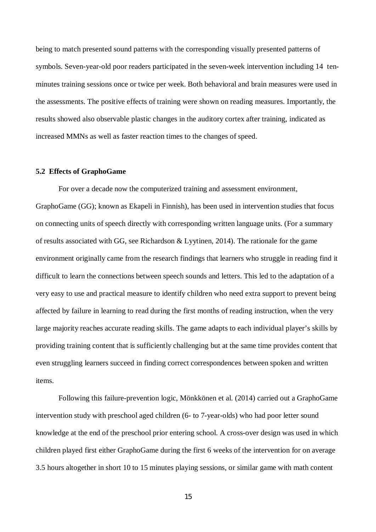being to match presented sound patterns with the corresponding visually presented patterns of symbols. Seven-year-old poor readers participated in the seven-week intervention including 14 tenminutes training sessions once or twice per week. Both behavioral and brain measures were used in the assessments. The positive effects of training were shown on reading measures. Importantly, the results showed also observable plastic changes in the auditory cortex after training, indicated as increased MMNs as well as faster reaction times to the changes of speed.

#### **5.2 Effects of GraphoGame**

For over a decade now the computerized training and assessment environment, GraphoGame (GG); known as Ekapeli in Finnish), has been used in intervention studies that focus on connecting units of speech directly with corresponding written language units. (For a summary of results associated with GG, see Richardson & Lyytinen, 2014). The rationale for the game environment originally came from the research findings that learners who struggle in reading find it difficult to learn the connections between speech sounds and letters. This led to the adaptation of a very easy to use and practical measure to identify children who need extra support to prevent being affected by failure in learning to read during the first months of reading instruction, when the very large majority reaches accurate reading skills. The game adapts to each individual player's skills by providing training content that is sufficiently challenging but at the same time provides content that even struggling learners succeed in finding correct correspondences between spoken and written items.

Following this failure-prevention logic, Mönkkönen et al. (2014) carried out a GraphoGame intervention study with preschool aged children (6- to 7-year-olds) who had poor letter sound knowledge at the end of the preschool prior entering school. A cross-over design was used in which children played first either GraphoGame during the first 6 weeks of the intervention for on average 3.5 hours altogether in short 10 to 15 minutes playing sessions, or similar game with math content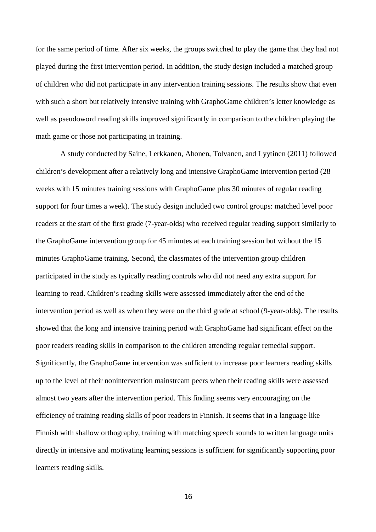for the same period of time. After six weeks, the groups switched to play the game that they had not played during the first intervention period. In addition, the study design included a matched group of children who did not participate in any intervention training sessions. The results show that even with such a short but relatively intensive training with GraphoGame children's letter knowledge as well as pseudoword reading skills improved significantly in comparison to the children playing the math game or those not participating in training.

 A study conducted by Saine, Lerkkanen, Ahonen, Tolvanen, and Lyytinen (2011) followed children's development after a relatively long and intensive GraphoGame intervention period (28 weeks with 15 minutes training sessions with GraphoGame plus 30 minutes of regular reading support for four times a week). The study design included two control groups: matched level poor readers at the start of the first grade (7-year-olds) who received regular reading support similarly to the GraphoGame intervention group for 45 minutes at each training session but without the 15 minutes GraphoGame training. Second, the classmates of the intervention group children participated in the study as typically reading controls who did not need any extra support for learning to read. Children's reading skills were assessed immediately after the end of the intervention period as well as when they were on the third grade at school (9-year-olds). The results showed that the long and intensive training period with GraphoGame had significant effect on the poor readers reading skills in comparison to the children attending regular remedial support. Significantly, the GraphoGame intervention was sufficient to increase poor learners reading skills up to the level of their nonintervention mainstream peers when their reading skills were assessed almost two years after the intervention period. This finding seems very encouraging on the efficiency of training reading skills of poor readers in Finnish. It seems that in a language like Finnish with shallow orthography, training with matching speech sounds to written language units directly in intensive and motivating learning sessions is sufficient for significantly supporting poor learners reading skills.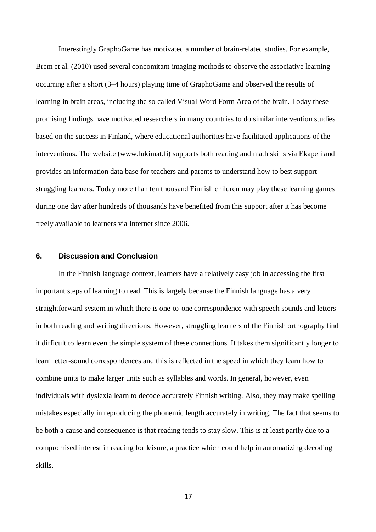Interestingly GraphoGame has motivated a number of brain-related studies. For example, Brem et al. (2010) used several concomitant imaging methods to observe the associative learning occurring after a short (3–4 hours) playing time of GraphoGame and observed the results of learning in brain areas, including the so called Visual Word Form Area of the brain. Today these promising findings have motivated researchers in many countries to do similar intervention studies based on the success in Finland, where educational authorities have facilitated applications of the interventions. The website ([www.lukimat.fi\)](http://www.lukimat.fi)/) supports both reading and math skills via Ekapeli and provides an information data base for teachers and parents to understand how to best support struggling learners. Today more than ten thousand Finnish children may play these learning games during one day after hundreds of thousands have benefited from this support after it has become freely available to learners via Internet since 2006.

# **6. Discussion and Conclusion**

In the Finnish language context, learners have a relatively easy job in accessing the first important steps of learning to read. This is largely because the Finnish language has a very straightforward system in which there is one-to-one correspondence with speech sounds and letters in both reading and writing directions. However, struggling learners of the Finnish orthography find it difficult to learn even the simple system of these connections. It takes them significantly longer to learn letter-sound correspondences and this is reflected in the speed in which they learn how to combine units to make larger units such as syllables and words. In general, however, even individuals with dyslexia learn to decode accurately Finnish writing. Also, they may make spelling mistakes especially in reproducing the phonemic length accurately in writing. The fact that seems to be both a cause and consequence is that reading tends to stay slow. This is at least partly due to a compromised interest in reading for leisure, a practice which could help in automatizing decoding skills.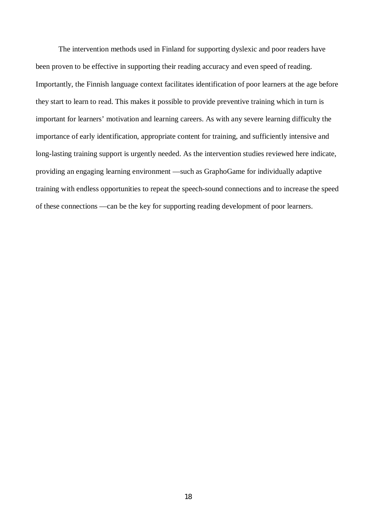The intervention methods used in Finland for supporting dyslexic and poor readers have been proven to be effective in supporting their reading accuracy and even speed of reading. Importantly, the Finnish language context facilitates identification of poor learners at the age before they start to learn to read. This makes it possible to provide preventive training which in turn is important for learners' motivation and learning careers. As with any severe learning difficulty the importance of early identification, appropriate content for training, and sufficiently intensive and long-lasting training support is urgently needed. As the intervention studies reviewed here indicate, providing an engaging learning environment —such as GraphoGame for individually adaptive training with endless opportunities to repeat the speech-sound connections and to increase the speed of these connections —can be the key for supporting reading development of poor learners.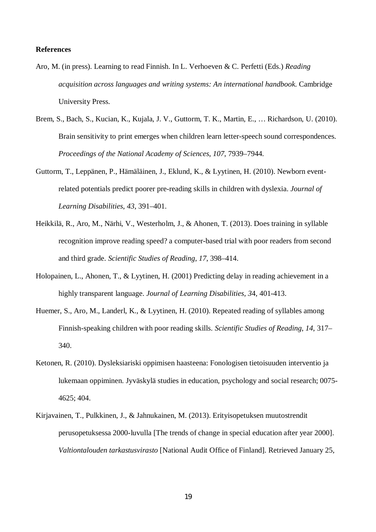### **References**

- Aro, M. (in press). Learning to read Finnish. In L. Verhoeven & C. Perfetti (Eds.) *Reading acquisition across languages and writing systems: An international handbook*. Cambridge University Press.
- Brem, S., Bach, S., Kucian, K., Kujala, J. V., Guttorm, T. K., Martin, E., … Richardson, U. (2010). Brain sensitivity to print emerges when children learn letter-speech sound correspondences. *Proceedings of the National Academy of Sciences*, *107*, 7939–7944.
- Guttorm, T., Leppänen, P., Hämäläinen, J., Eklund, K., & Lyytinen, H. (2010). Newborn eventrelated potentials predict poorer pre-reading skills in children with dyslexia. *Journal of Learning Disabilities*, *43*, 391–401.
- Heikkilä, R., Aro, M., Närhi, V., Westerholm, J., & Ahonen, T. (2013). Does training in syllable recognition improve reading speed? a computer-based trial with poor readers from second and third grade. *Scientific Studies of Reading*, *17*, 398–414.
- Holopainen, L., Ahonen, T., & Lyytinen, H. (2001) Predicting delay in reading achievement in a highly transparent language. *Journal of Learning Disabilities, 3*4, 401-413.
- Huemer, S., Aro, M., Landerl, K., & Lyytinen, H. (2010). Repeated reading of syllables among Finnish-speaking children with poor reading skills. *Scientific Studies of Reading*, *14*, 317– 340.
- Ketonen, R. (2010). Dysleksiariski oppimisen haasteena: Fonologisen tietoisuuden interventio ja lukemaan oppiminen. Jyväskylä studies in education, psychology and social research; 0075- 4625; 404.
- Kirjavainen, T., Pulkkinen, J., & Jahnukainen, M. (2013). Erityisopetuksen muutostrendit perusopetuksessa 2000-luvulla [The trends of change in special education after year 2000]. *Valtiontalouden tarkastusvirasto* [National Audit Office of Finland]. Retrieved January 25,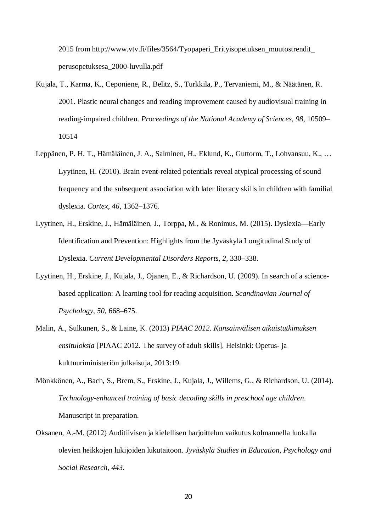2015 from http://www.vtv.fi/files/3564/Tyopaperi\_Erityisopetuksen\_muutostrendit\_ perusopetuksesa\_2000-luvulla.pdf

- Kujala, T., Karma, K., Ceponiene, R., Belitz, S., Turkkila, P., Tervaniemi, M., & Näätänen, R. 2001. Plastic neural changes and reading improvement caused by audiovisual training in reading-impaired children. *Proceedings of the National Academy of Sciences*, *98*, 10509– 10514
- Leppänen, P. H. T., Hämäläinen, J. A., Salminen, H., Eklund, K., Guttorm, T., Lohvansuu, K., … Lyytinen, H. (2010). Brain event-related potentials reveal atypical processing of sound frequency and the subsequent association with later literacy skills in children with familial dyslexia. *Cortex*, *46*, 1362–1376.
- Lyytinen, H., Erskine, J., Hämäläinen, J., Torppa, M., & Ronimus, M. (2015). Dyslexia—Early Identification and Prevention: Highlights from the Jyväskylä Longitudinal Study of Dyslexia. *Current Developmental Disorders Reports*, *2*, 330–338.
- Lyytinen, H., Erskine, J., Kujala, J., Ojanen, E., & Richardson, U. (2009). In search of a sciencebased application: A learning tool for reading acquisition. *Scandinavian Journal of Psychology*, *50*, 668–675.
- Malin, A., Sulkunen, S., & Laine, K. (2013) *PIAAC 2012. Kansainvälisen aikuistutkimuksen ensituloksia* [PIAAC 2012. The survey of adult skills]. Helsinki: Opetus- ja kulttuuriministeriön julkaisuja, 2013:19.
- Mönkkönen, A., Bach, S., Brem, S., Erskine, J., Kujala, J., Willems, G., & Richardson, U. (2014). *Technology-enhanced training of basic decoding skills in preschool age children*. Manuscript in preparation.
- Oksanen, A.-M. (2012) Auditiivisen ja kielellisen harjoittelun vaikutus kolmannella luokalla olevien heikkojen lukijoiden lukutaitoon. *Jyväskylä Studies in Education, Psychology and Social Research*, *443*.